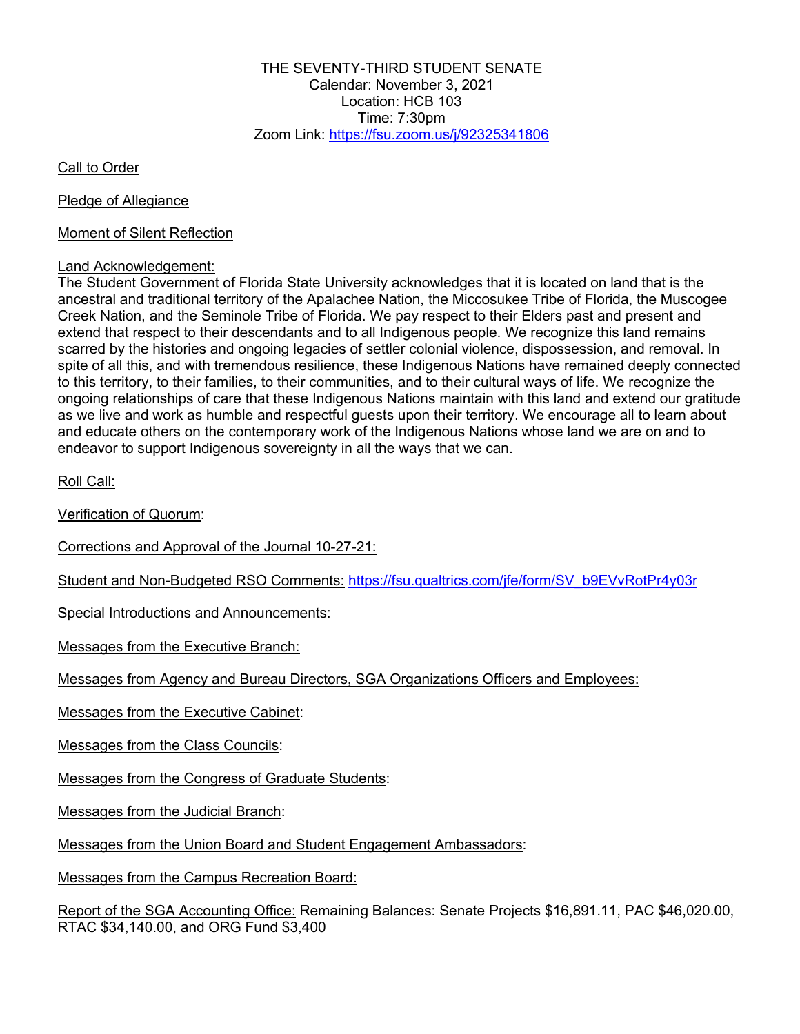THE SEVENTY-THIRD STUDENT SENATE Calendar: November 3, 2021 Location: HCB 103 Time: 7:30pm Zoom Link: https://fsu.zoom.us/j/92325341806

Call to Order

Pledge of Allegiance

Moment of Silent Reflection

#### Land Acknowledgement:

The Student Government of Florida State University acknowledges that it is located on land that is the ancestral and traditional territory of the Apalachee Nation, the Miccosukee Tribe of Florida, the Muscogee Creek Nation, and the Seminole Tribe of Florida. We pay respect to their Elders past and present and extend that respect to their descendants and to all Indigenous people. We recognize this land remains scarred by the histories and ongoing legacies of settler colonial violence, dispossession, and removal. In spite of all this, and with tremendous resilience, these Indigenous Nations have remained deeply connected to this territory, to their families, to their communities, and to their cultural ways of life. We recognize the ongoing relationships of care that these Indigenous Nations maintain with this land and extend our gratitude as we live and work as humble and respectful guests upon their territory. We encourage all to learn about and educate others on the contemporary work of the Indigenous Nations whose land we are on and to endeavor to support Indigenous sovereignty in all the ways that we can.

Roll Call:

Verification of Quorum:

Corrections and Approval of the Journal 10-27-21:

Student and Non-Budgeted RSO Comments: https://fsu.qualtrics.com/jfe/form/SV\_b9EVvRotPr4y03r

Special Introductions and Announcements:

Messages from the Executive Branch:

Messages from Agency and Bureau Directors, SGA Organizations Officers and Employees:

Messages from the Executive Cabinet:

Messages from the Class Councils:

Messages from the Congress of Graduate Students:

Messages from the Judicial Branch:

Messages from the Union Board and Student Engagement Ambassadors:

Messages from the Campus Recreation Board:

Report of the SGA Accounting Office: Remaining Balances: Senate Projects \$16,891.11, PAC \$46,020.00, RTAC \$34,140.00, and ORG Fund \$3,400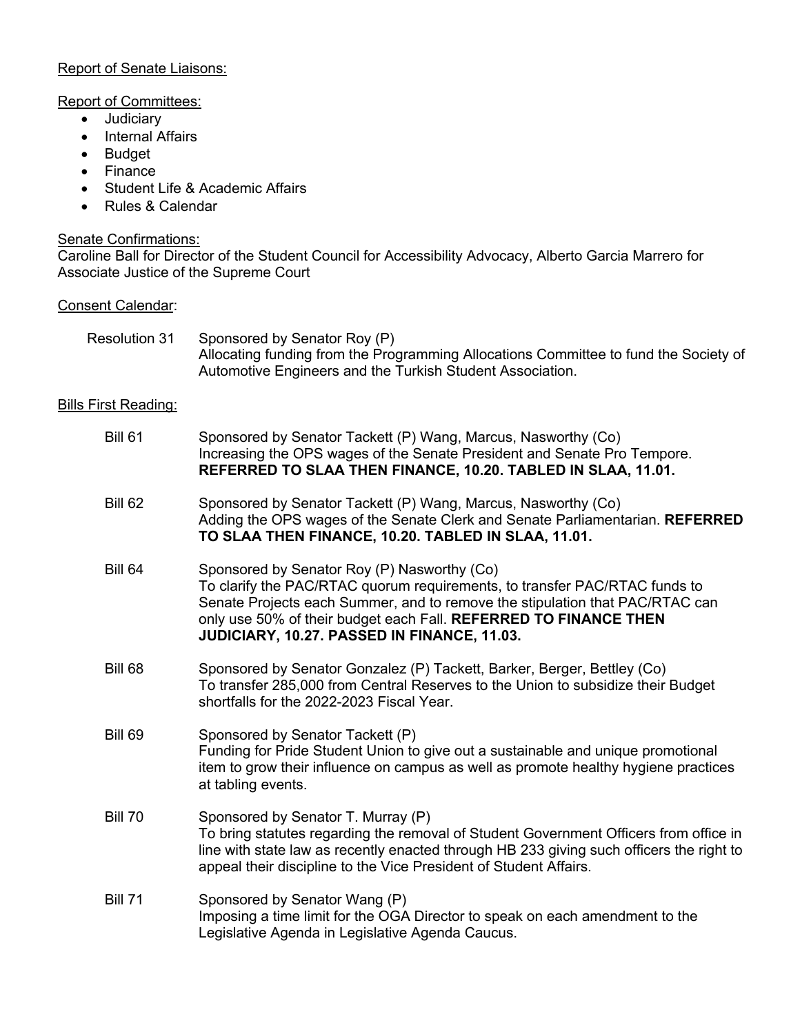### Report of Senate Liaisons:

#### Report of Committees:

- Judiciary
- Internal Affairs
- Budget
- Finance
- Student Life & Academic Affairs
- Rules & Calendar

# Senate Confirmations:

Caroline Ball for Director of the Student Council for Accessibility Advocacy, Alberto Garcia Marrero for Associate Justice of the Supreme Court

#### Consent Calendar:

| Resolution 31 | Sponsored by Senator Roy (P)                                                         |
|---------------|--------------------------------------------------------------------------------------|
|               | Allocating funding from the Programming Allocations Committee to fund the Society of |
|               | Automotive Engineers and the Turkish Student Association.                            |

### Bills First Reading:

| <b>Bill 61</b> | Sponsored by Senator Tackett (P) Wang, Marcus, Nasworthy (Co)<br>Increasing the OPS wages of the Senate President and Senate Pro Tempore.<br>REFERRED TO SLAA THEN FINANCE, 10.20. TABLED IN SLAA, 11.01.                                                                                                                    |
|----------------|------------------------------------------------------------------------------------------------------------------------------------------------------------------------------------------------------------------------------------------------------------------------------------------------------------------------------|
| <b>Bill 62</b> | Sponsored by Senator Tackett (P) Wang, Marcus, Nasworthy (Co)<br>Adding the OPS wages of the Senate Clerk and Senate Parliamentarian. REFERRED<br>TO SLAA THEN FINANCE, 10.20. TABLED IN SLAA, 11.01.                                                                                                                        |
| <b>Bill 64</b> | Sponsored by Senator Roy (P) Nasworthy (Co)<br>To clarify the PAC/RTAC quorum requirements, to transfer PAC/RTAC funds to<br>Senate Projects each Summer, and to remove the stipulation that PAC/RTAC can<br>only use 50% of their budget each Fall. REFERRED TO FINANCE THEN<br>JUDICIARY, 10.27. PASSED IN FINANCE, 11.03. |
| Bill 68        | Sponsored by Senator Gonzalez (P) Tackett, Barker, Berger, Bettley (Co)<br>To transfer 285,000 from Central Reserves to the Union to subsidize their Budget<br>shortfalls for the 2022-2023 Fiscal Year.                                                                                                                     |
| <b>Bill 69</b> | Sponsored by Senator Tackett (P)<br>Funding for Pride Student Union to give out a sustainable and unique promotional<br>item to grow their influence on campus as well as promote healthy hygiene practices<br>at tabling events.                                                                                            |
| <b>Bill 70</b> | Sponsored by Senator T. Murray (P)<br>To bring statutes regarding the removal of Student Government Officers from office in<br>line with state law as recently enacted through HB 233 giving such officers the right to<br>appeal their discipline to the Vice President of Student Affairs.                                 |
| <b>Bill 71</b> | Sponsored by Senator Wang (P)<br>Imposing a time limit for the OGA Director to speak on each amendment to the<br>Legislative Agenda in Legislative Agenda Caucus.                                                                                                                                                            |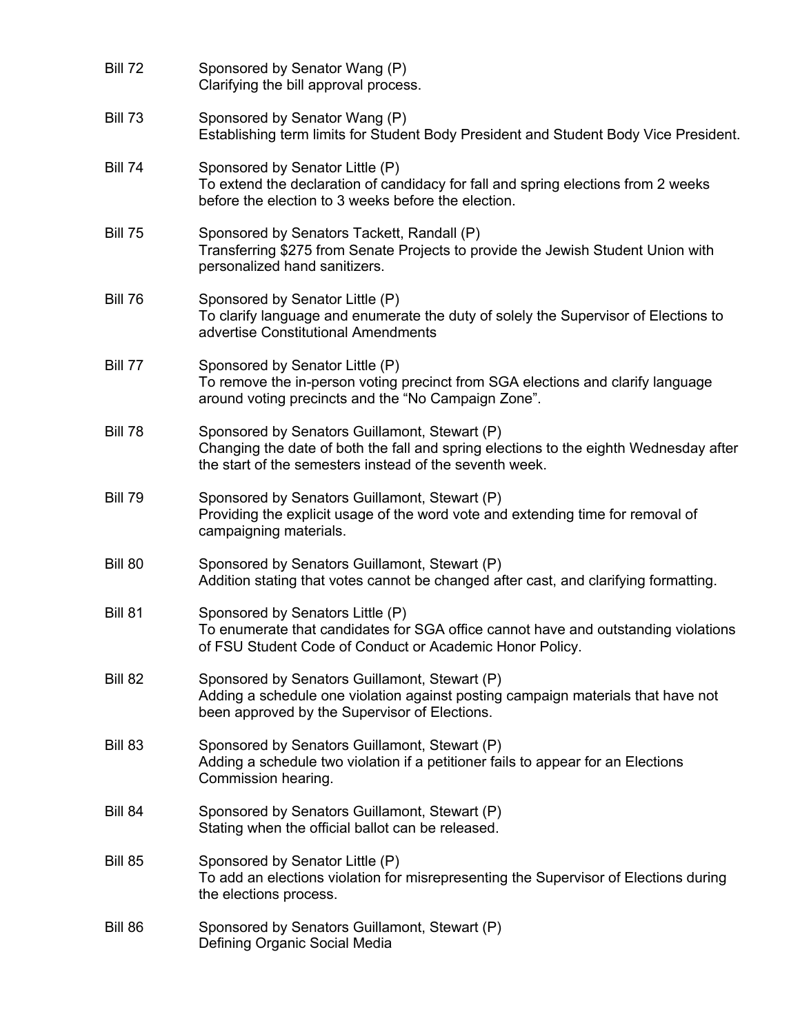| <b>Bill 72</b> | Sponsored by Senator Wang (P)<br>Clarifying the bill approval process.                                                                                                                            |
|----------------|---------------------------------------------------------------------------------------------------------------------------------------------------------------------------------------------------|
| <b>Bill 73</b> | Sponsored by Senator Wang (P)<br>Establishing term limits for Student Body President and Student Body Vice President.                                                                             |
| <b>Bill 74</b> | Sponsored by Senator Little (P)<br>To extend the declaration of candidacy for fall and spring elections from 2 weeks<br>before the election to 3 weeks before the election.                       |
| <b>Bill 75</b> | Sponsored by Senators Tackett, Randall (P)<br>Transferring \$275 from Senate Projects to provide the Jewish Student Union with<br>personalized hand sanitizers.                                   |
| <b>Bill 76</b> | Sponsored by Senator Little (P)<br>To clarify language and enumerate the duty of solely the Supervisor of Elections to<br>advertise Constitutional Amendments                                     |
| <b>Bill 77</b> | Sponsored by Senator Little (P)<br>To remove the in-person voting precinct from SGA elections and clarify language<br>around voting precincts and the "No Campaign Zone".                         |
| <b>Bill 78</b> | Sponsored by Senators Guillamont, Stewart (P)<br>Changing the date of both the fall and spring elections to the eighth Wednesday after<br>the start of the semesters instead of the seventh week. |
| <b>Bill 79</b> | Sponsored by Senators Guillamont, Stewart (P)<br>Providing the explicit usage of the word vote and extending time for removal of<br>campaigning materials.                                        |
| <b>Bill 80</b> | Sponsored by Senators Guillamont, Stewart (P)<br>Addition stating that votes cannot be changed after cast, and clarifying formatting.                                                             |
| <b>Bill 81</b> | Sponsored by Senators Little (P)<br>To enumerate that candidates for SGA office cannot have and outstanding violations<br>of FSU Student Code of Conduct or Academic Honor Policy.                |
| <b>Bill 82</b> | Sponsored by Senators Guillamont, Stewart (P)<br>Adding a schedule one violation against posting campaign materials that have not<br>been approved by the Supervisor of Elections.                |
| Bill 83        | Sponsored by Senators Guillamont, Stewart (P)<br>Adding a schedule two violation if a petitioner fails to appear for an Elections<br>Commission hearing.                                          |
| Bill 84        | Sponsored by Senators Guillamont, Stewart (P)<br>Stating when the official ballot can be released.                                                                                                |
| <b>Bill 85</b> | Sponsored by Senator Little (P)<br>To add an elections violation for misrepresenting the Supervisor of Elections during<br>the elections process.                                                 |
| Bill 86        | Sponsored by Senators Guillamont, Stewart (P)<br>Defining Organic Social Media                                                                                                                    |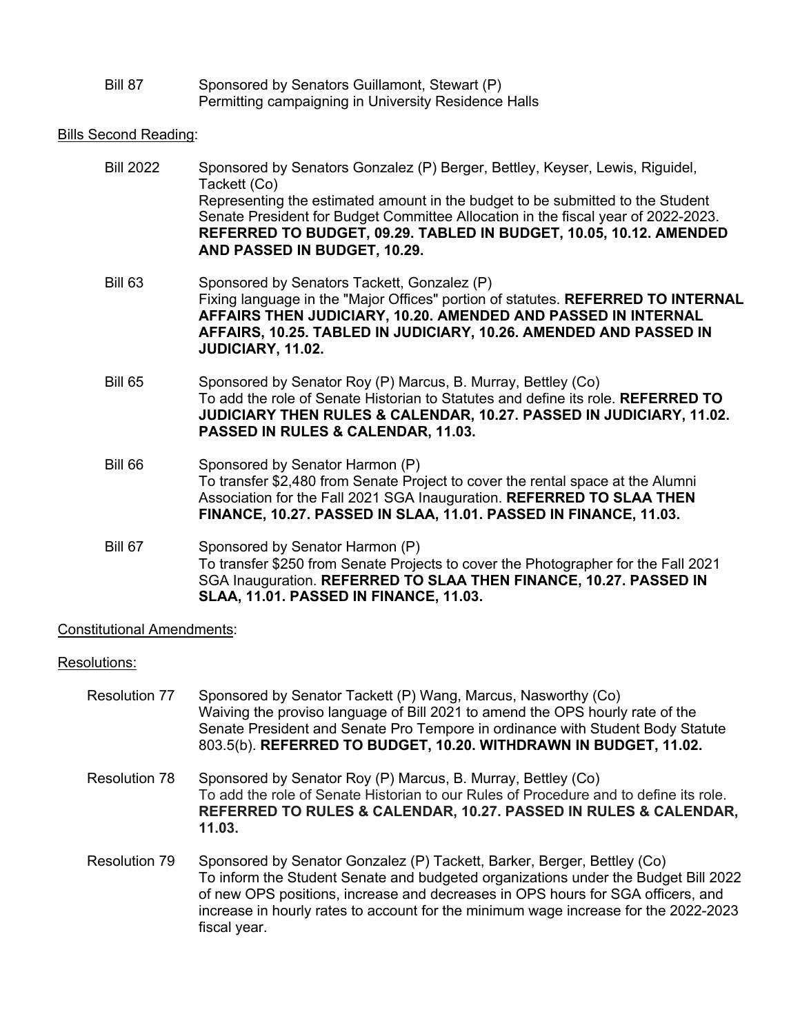| Bill 87 | Sponsored by Senators Guillamont, Stewart (P)        |
|---------|------------------------------------------------------|
|         | Permitting campaigning in University Residence Halls |

## **Bills Second Reading:**

| <b>Bill 2022</b> | Sponsored by Senators Gonzalez (P) Berger, Bettley, Keyser, Lewis, Riguidel,<br>Tackett (Co)                                                                                                                                                                                                      |
|------------------|---------------------------------------------------------------------------------------------------------------------------------------------------------------------------------------------------------------------------------------------------------------------------------------------------|
|                  | Representing the estimated amount in the budget to be submitted to the Student<br>Senate President for Budget Committee Allocation in the fiscal year of 2022-2023.<br>REFERRED TO BUDGET, 09.29. TABLED IN BUDGET, 10.05, 10.12. AMENDED<br>AND PASSED IN BUDGET, 10.29.                         |
| <b>Bill 63</b>   | Sponsored by Senators Tackett, Gonzalez (P)<br>Fixing language in the "Major Offices" portion of statutes. REFERRED TO INTERNAL<br>AFFAIRS THEN JUDICIARY, 10.20. AMENDED AND PASSED IN INTERNAL<br>AFFAIRS, 10.25. TABLED IN JUDICIARY, 10.26. AMENDED AND PASSED IN<br><b>JUDICIARY, 11.02.</b> |
| <b>Bill 65</b>   | Sponsored by Senator Roy (P) Marcus, B. Murray, Bettley (Co)<br>To add the role of Senate Historian to Statutes and define its role. REFERRED TO<br><b>JUDICIARY THEN RULES &amp; CALENDAR, 10.27. PASSED IN JUDICIARY, 11.02.</b><br>PASSED IN RULES & CALENDAR, 11.03.                          |
| <b>Bill 66</b>   | Sponsored by Senator Harmon (P)<br>To transfer \$2,480 from Senate Project to cover the rental space at the Alumni<br>Association for the Fall 2021 SGA Inauguration. REFERRED TO SLAA THEN<br>FINANCE, 10.27. PASSED IN SLAA, 11.01. PASSED IN FINANCE, 11.03.                                   |
| Bill 67          | Sponsored by Senator Harmon (P)<br>To transfer \$250 from Senate Projects to cover the Photographer for the Fall 2021<br>SGA Inauguration. REFERRED TO SLAA THEN FINANCE, 10.27. PASSED IN<br>SLAA, 11.01. PASSED IN FINANCE, 11.03.                                                              |

## Constitutional Amendments:

### Resolutions:

| Resolution 77 | Sponsored by Senator Tackett (P) Wang, Marcus, Nasworthy (Co)<br>Waiving the proviso language of Bill 2021 to amend the OPS hourly rate of the<br>Senate President and Senate Pro Tempore in ordinance with Student Body Statute<br>803.5(b). REFERRED TO BUDGET, 10.20. WITHDRAWN IN BUDGET, 11.02.                                                    |
|---------------|---------------------------------------------------------------------------------------------------------------------------------------------------------------------------------------------------------------------------------------------------------------------------------------------------------------------------------------------------------|
| Resolution 78 | Sponsored by Senator Roy (P) Marcus, B. Murray, Bettley (Co)<br>To add the role of Senate Historian to our Rules of Procedure and to define its role.<br>REFERRED TO RULES & CALENDAR, 10.27. PASSED IN RULES & CALENDAR,<br>11.03.                                                                                                                     |
| Resolution 79 | Sponsored by Senator Gonzalez (P) Tackett, Barker, Berger, Bettley (Co)<br>To inform the Student Senate and budgeted organizations under the Budget Bill 2022<br>of new OPS positions, increase and decreases in OPS hours for SGA officers, and<br>increase in hourly rates to account for the minimum wage increase for the 2022-2023<br>fiscal year. |